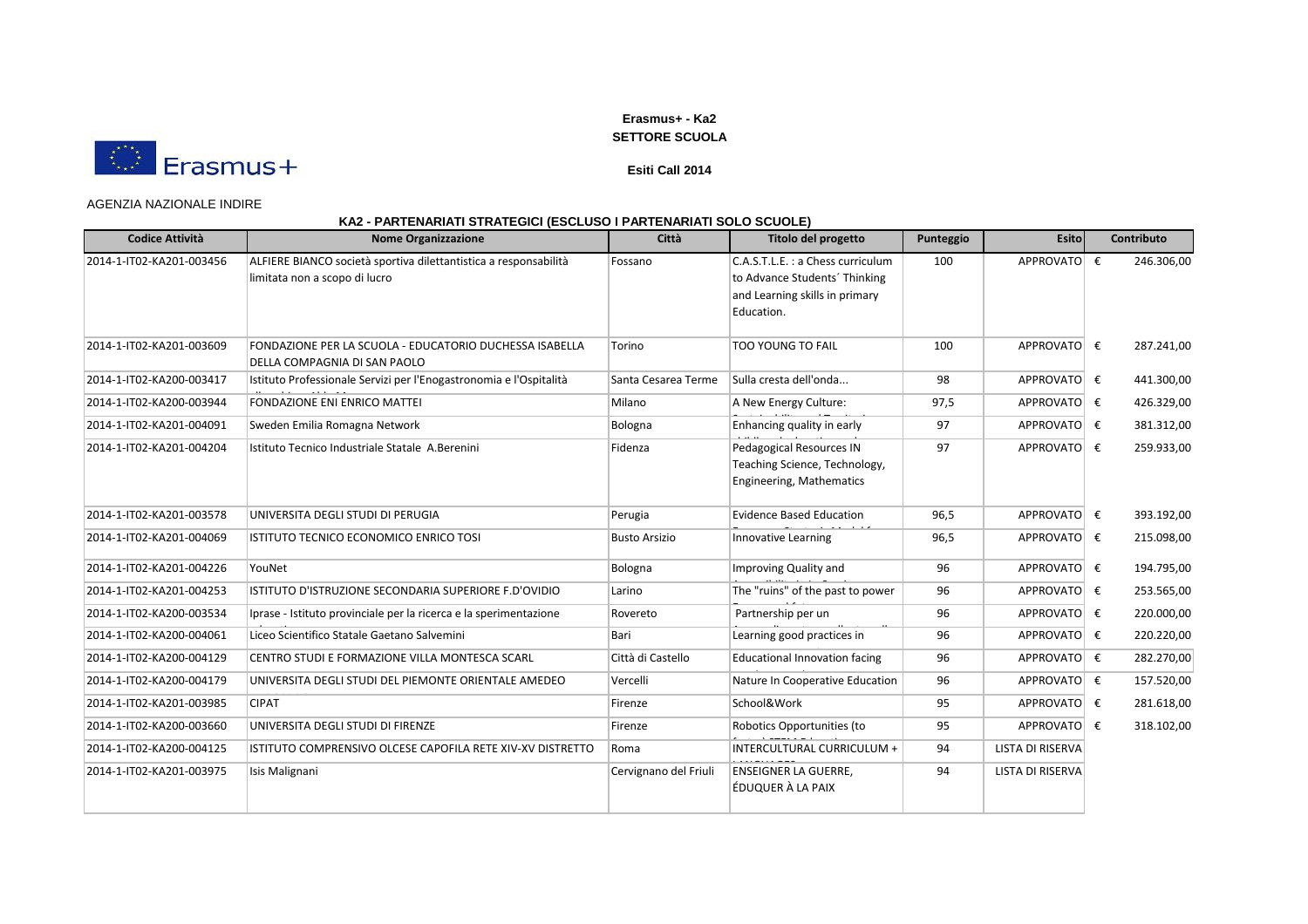

### **Esiti Call 2014**

#### AGENZIA NAZIONALE INDIRE

| <b>Codice Attività</b>   | <b>Nome Organizzazione</b>                                                                        | Città                 | Titolo del progetto                                                                                               | Punteggio | <b>Esito</b>            | Contributo |
|--------------------------|---------------------------------------------------------------------------------------------------|-----------------------|-------------------------------------------------------------------------------------------------------------------|-----------|-------------------------|------------|
| 2014-1-IT02-KA201-003456 | ALFIERE BIANCO società sportiva dilettantistica a responsabilità<br>limitata non a scopo di lucro | Fossano               | C.A.S.T.L.E.: a Chess curriculum<br>to Advance Students' Thinking<br>and Learning skills in primary<br>Education. | 100       | APPROVATO €             | 246.306,00 |
| 2014-1-IT02-KA201-003609 | FONDAZIONE PER LA SCUOLA - EDUCATORIO DUCHESSA ISABELLA<br>DELLA COMPAGNIA DI SAN PAOLO           | Torino                | TOO YOUNG TO FAIL                                                                                                 | 100       | APPROVATO €             | 287.241,00 |
| 2014-1-IT02-KA200-003417 | Istituto Professionale Servizi per l'Enogastronomia e l'Ospitalità                                | Santa Cesarea Terme   | Sulla cresta dell'onda                                                                                            | 98        | APPROVATO €             | 441.300,00 |
| 2014-1-IT02-KA200-003944 | <b>FONDAZIONE ENI ENRICO MATTEI</b>                                                               | Milano                | A New Energy Culture:                                                                                             | 97,5      | APPROVATO €             | 426.329,00 |
| 2014-1-IT02-KA201-004091 | Sweden Emilia Romagna Network                                                                     | Bologna               | Enhancing quality in early                                                                                        | 97        | APPROVATO €             | 381.312,00 |
| 2014-1-IT02-KA201-004204 | Istituto Tecnico Industriale Statale A.Berenini                                                   | Fidenza               | Pedagogical Resources IN<br>Teaching Science, Technology,<br>Engineering, Mathematics                             | 97        | APPROVATO €             | 259.933,00 |
| 2014-1-IT02-KA201-003578 | UNIVERSITA DEGLI STUDI DI PERUGIA                                                                 | Perugia               | <b>Evidence Based Education</b>                                                                                   | 96,5      | APPROVATO €             | 393.192,00 |
| 2014-1-IT02-KA201-004069 | ISTITUTO TECNICO ECONOMICO ENRICO TOSI                                                            | <b>Busto Arsizio</b>  | Innovative Learning                                                                                               | 96,5      | APPROVATO €             | 215.098,00 |
| 2014-1-IT02-KA201-004226 | YouNet                                                                                            | Bologna               | Improving Quality and                                                                                             | 96        | APPROVATO €             | 194.795,00 |
| 2014-1-IT02-KA201-004253 | ISTITUTO D'ISTRUZIONE SECONDARIA SUPERIORE F.D'OVIDIO                                             | Larino                | The "ruins" of the past to power                                                                                  | 96        | APPROVATO €             | 253.565,00 |
| 2014-1-IT02-KA200-003534 | Iprase - Istituto provinciale per la ricerca e la sperimentazione                                 | Rovereto              | Partnership per un                                                                                                | 96        | APPROVATO €             | 220.000,00 |
| 2014-1-IT02-KA200-004061 | Liceo Scientifico Statale Gaetano Salvemini                                                       | Bari                  | Learning good practices in                                                                                        | 96        | APPROVATO €             | 220.220,00 |
| 2014-1-IT02-KA200-004129 | CENTRO STUDI E FORMAZIONE VILLA MONTESCA SCARL                                                    | Città di Castello     | Educational Innovation facing                                                                                     | 96        | APPROVATO €             | 282.270,00 |
| 2014-1-IT02-KA200-004179 | UNIVERSITA DEGLI STUDI DEL PIEMONTE ORIENTALE AMEDEO                                              | Vercelli              | Nature In Cooperative Education                                                                                   | 96        | APPROVATO €             | 157.520,00 |
| 2014-1-IT02-KA201-003985 | <b>CIPAT</b>                                                                                      | Firenze               | School&Work                                                                                                       | 95        | APPROVATO €             | 281.618,00 |
| 2014-1-IT02-KA200-003660 | UNIVERSITA DEGLI STUDI DI FIRENZE                                                                 | Firenze               | Robotics Opportunities (to                                                                                        | 95        | APPROVATO €             | 318.102,00 |
| 2014-1-IT02-KA200-004125 | ISTITUTO COMPRENSIVO OLCESE CAPOFILA RETE XIV-XV DISTRETTO                                        | Roma                  | INTERCULTURAL CURRICULUM +                                                                                        | 94        | <b>LISTA DI RISERVA</b> |            |
| 2014-1-IT02-KA201-003975 | Isis Malignani                                                                                    | Cervignano del Friuli | <b>ENSEIGNER LA GUERRE,</b><br>ÉDUQUER À LA PAIX                                                                  | 94        | LISTA DI RISERVA        |            |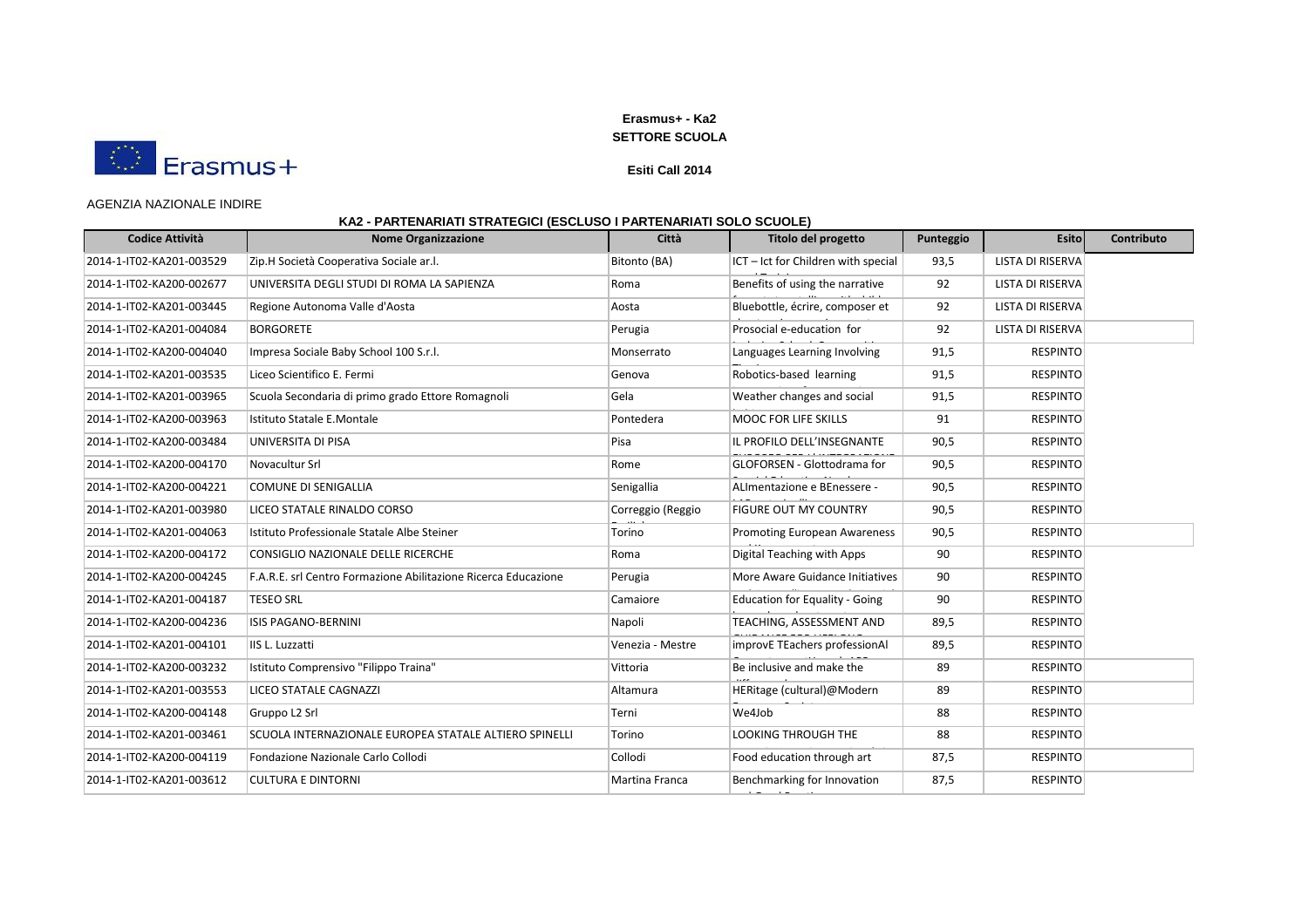

### **Esiti Call 2014**

### AGENZIA NAZIONALE INDIRE

| <b>Codice Attività</b>   | <b>Nome Organizzazione</b>                                     | Città             | Titolo del progetto                   | Punteggio | <b>Esito</b>     | Contributo |
|--------------------------|----------------------------------------------------------------|-------------------|---------------------------------------|-----------|------------------|------------|
| 2014-1-IT02-KA201-003529 | Zip.H Società Cooperativa Sociale ar.l.                        | Bitonto (BA)      | ICT - Ict for Children with special   | 93,5      | LISTA DI RISERVA |            |
| 2014-1-IT02-KA200-002677 | UNIVERSITA DEGLI STUDI DI ROMA LA SAPIENZA                     | Roma              | Benefits of using the narrative       | 92        | LISTA DI RISERVA |            |
| 2014-1-IT02-KA201-003445 | Regione Autonoma Valle d'Aosta                                 | Aosta             | Bluebottle, écrire, composer et       | 92        | LISTA DI RISERVA |            |
| 2014-1-IT02-KA201-004084 | <b>BORGORETE</b>                                               | Perugia           | Prosocial e-education for             | 92        | LISTA DI RISERVA |            |
| 2014-1-IT02-KA200-004040 | Impresa Sociale Baby School 100 S.r.l.                         | Monserrato        | Languages Learning Involving          | 91,5      | <b>RESPINTO</b>  |            |
| 2014-1-IT02-KA201-003535 | Liceo Scientifico E. Fermi                                     | Genova            | Robotics-based learning               | 91,5      | <b>RESPINTO</b>  |            |
| 2014-1-IT02-KA201-003965 | Scuola Secondaria di primo grado Ettore Romagnoli              | Gela              | Weather changes and social            | 91,5      | <b>RESPINTO</b>  |            |
| 2014-1-IT02-KA200-003963 | Istituto Statale E.Montale                                     | Pontedera         | <b>MOOC FOR LIFE SKILLS</b>           | 91        | <b>RESPINTO</b>  |            |
| 2014-1-IT02-KA200-003484 | UNIVERSITA DI PISA                                             | Pisa              | IL PROFILO DELL'INSEGNANTE            | 90,5      | <b>RESPINTO</b>  |            |
| 2014-1-IT02-KA200-004170 | Novacultur Srl                                                 | Rome              | <b>GLOFORSEN - Glottodrama for</b>    | 90,5      | <b>RESPINTO</b>  |            |
| 2014-1-IT02-KA200-004221 | <b>COMUNE DI SENIGALLIA</b>                                    | Senigallia        | ALImentazione e BEnessere -           | 90,5      | <b>RESPINTO</b>  |            |
| 2014-1-IT02-KA201-003980 | LICEO STATALE RINALDO CORSO                                    | Correggio (Reggio | <b>FIGURE OUT MY COUNTRY</b>          | 90,5      | <b>RESPINTO</b>  |            |
| 2014-1-IT02-KA201-004063 | Istituto Professionale Statale Albe Steiner                    | Torino            | <b>Promoting European Awareness</b>   | 90,5      | <b>RESPINTO</b>  |            |
| 2014-1-IT02-KA200-004172 | CONSIGLIO NAZIONALE DELLE RICERCHE                             | Roma              | Digital Teaching with Apps            | 90        | <b>RESPINTO</b>  |            |
| 2014-1-IT02-KA200-004245 | F.A.R.E. srl Centro Formazione Abilitazione Ricerca Educazione | Perugia           | More Aware Guidance Initiatives       | 90        | <b>RESPINTO</b>  |            |
| 2014-1-IT02-KA201-004187 | <b>TESEO SRL</b>                                               | Camaiore          | <b>Education for Equality - Going</b> | 90        | <b>RESPINTO</b>  |            |
| 2014-1-IT02-KA200-004236 | <b>ISIS PAGANO-BERNINI</b>                                     | Napoli            | TEACHING, ASSESSMENT AND              | 89,5      | <b>RESPINTO</b>  |            |
| 2014-1-IT02-KA201-004101 | IIS L. Luzzatti                                                | Venezia - Mestre  | improvE TEachers professionAl         | 89,5      | <b>RESPINTO</b>  |            |
| 2014-1-IT02-KA200-003232 | Istituto Comprensivo "Filippo Traina"                          | Vittoria          | Be inclusive and make the             | 89        | <b>RESPINTO</b>  |            |
| 2014-1-IT02-KA201-003553 | LICEO STATALE CAGNAZZI                                         | Altamura          | HERitage (cultural)@Modern            | 89        | <b>RESPINTO</b>  |            |
| 2014-1-IT02-KA200-004148 | Gruppo L2 Srl                                                  | Terni             | We4Job                                | 88        | <b>RESPINTO</b>  |            |
| 2014-1-IT02-KA201-003461 | SCUOLA INTERNAZIONALE EUROPEA STATALE ALTIERO SPINELLI         | Torino            | LOOKING THROUGH THE                   | 88        | <b>RESPINTO</b>  |            |
| 2014-1-IT02-KA200-004119 | Fondazione Nazionale Carlo Collodi                             | Collodi           | Food education through art            | 87,5      | <b>RESPINTO</b>  |            |
| 2014-1-IT02-KA201-003612 | <b>CULTURA E DINTORNI</b>                                      | Martina Franca    | Benchmarking for Innovation           | 87,5      | <b>RESPINTO</b>  |            |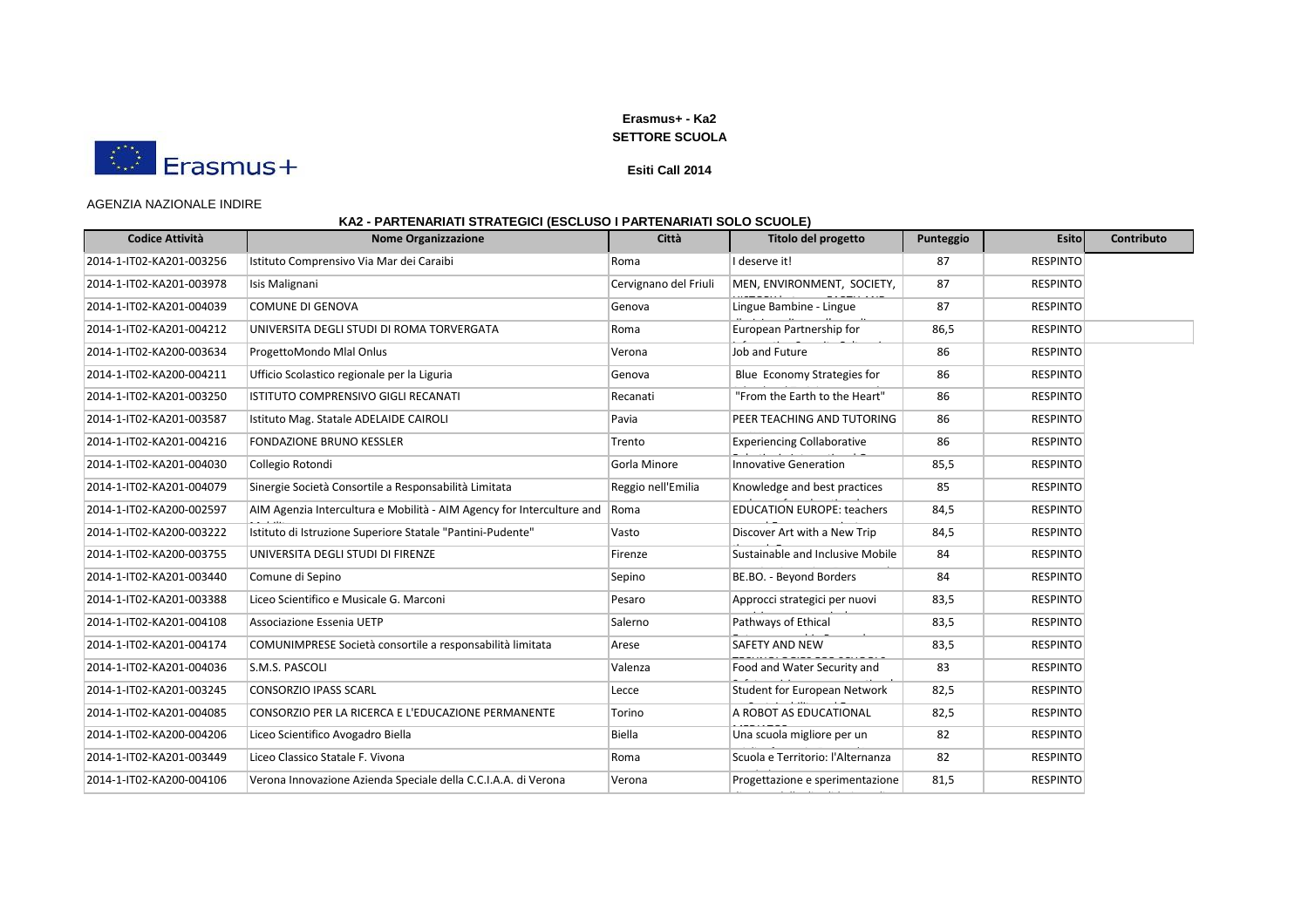

### **Esiti Call 2014**

### AGENZIA NAZIONALE INDIRE

| <b>Codice Attività</b>   | <b>Nome Organizzazione</b>                                            | Città                 | Titolo del progetto                 | Punteggio | <b>Esito</b>    | Contributo |
|--------------------------|-----------------------------------------------------------------------|-----------------------|-------------------------------------|-----------|-----------------|------------|
| 2014-1-IT02-KA201-003256 | Istituto Comprensivo Via Mar dei Caraibi                              | Roma                  | I deserve it!                       | 87        | <b>RESPINTO</b> |            |
| 2014-1-IT02-KA201-003978 | Isis Malignani                                                        | Cervignano del Friuli | MEN, ENVIRONMENT, SOCIETY,          | 87        | <b>RESPINTO</b> |            |
| 2014-1-IT02-KA201-004039 | COMUNE DI GENOVA                                                      | Genova                | Lingue Bambine - Lingue             | 87        | <b>RESPINTO</b> |            |
| 2014-1-IT02-KA201-004212 | UNIVERSITA DEGLI STUDI DI ROMA TORVERGATA                             | Roma                  | European Partnership for            | 86,5      | <b>RESPINTO</b> |            |
| 2014-1-IT02-KA200-003634 | ProgettoMondo Mlal Onlus                                              | Verona                | Job and Future                      | 86        | <b>RESPINTO</b> |            |
| 2014-1-IT02-KA200-004211 | Ufficio Scolastico regionale per la Liguria                           | Genova                | Blue Economy Strategies for         | 86        | <b>RESPINTO</b> |            |
| 2014-1-IT02-KA201-003250 | ISTITUTO COMPRENSIVO GIGLI RECANATI                                   | Recanati              | "From the Earth to the Heart"       | 86        | <b>RESPINTO</b> |            |
| 2014-1-IT02-KA201-003587 | Istituto Mag. Statale ADELAIDE CAIROLI                                | Pavia                 | PEER TEACHING AND TUTORING          | 86        | <b>RESPINTO</b> |            |
| 2014-1-IT02-KA201-004216 | <b>FONDAZIONE BRUNO KESSLER</b>                                       | Trento                | <b>Experiencing Collaborative</b>   | 86        | <b>RESPINTO</b> |            |
| 2014-1-IT02-KA201-004030 | Collegio Rotondi                                                      | Gorla Minore          | <b>Innovative Generation</b>        | 85,5      | <b>RESPINTO</b> |            |
| 2014-1-IT02-KA201-004079 | Sinergie Società Consortile a Responsabilità Limitata                 | Reggio nell'Emilia    | Knowledge and best practices        | 85        | <b>RESPINTO</b> |            |
| 2014-1-IT02-KA200-002597 | AIM Agenzia Intercultura e Mobilità - AIM Agency for Interculture and | Roma                  | <b>EDUCATION EUROPE: teachers</b>   | 84,5      | <b>RESPINTO</b> |            |
| 2014-1-IT02-KA200-003222 | Istituto di Istruzione Superiore Statale "Pantini-Pudente"            | Vasto                 | Discover Art with a New Trip        | 84,5      | <b>RESPINTO</b> |            |
| 2014-1-IT02-KA200-003755 | UNIVERSITA DEGLI STUDI DI FIRENZE                                     | Firenze               | Sustainable and Inclusive Mobile    | 84        | <b>RESPINTO</b> |            |
| 2014-1-IT02-KA201-003440 | Comune di Sepino                                                      | Sepino                | BE.BO. - Beyond Borders             | 84        | <b>RESPINTO</b> |            |
| 2014-1-IT02-KA201-003388 | Liceo Scientifico e Musicale G. Marconi                               | Pesaro                | Approcci strategici per nuovi       | 83,5      | <b>RESPINTO</b> |            |
| 2014-1-IT02-KA201-004108 | Associazione Essenia UETP                                             | Salerno               | Pathways of Ethical                 | 83,5      | <b>RESPINTO</b> |            |
| 2014-1-IT02-KA201-004174 | COMUNIMPRESE Società consortile a responsabilità limitata             | Arese                 | <b>SAFETY AND NEW</b>               | 83,5      | <b>RESPINTO</b> |            |
| 2014-1-IT02-KA201-004036 | S.M.S. PASCOLI                                                        | Valenza               | Food and Water Security and         | 83        | <b>RESPINTO</b> |            |
| 2014-1-IT02-KA201-003245 | <b>CONSORZIO IPASS SCARL</b>                                          | Lecce                 | <b>Student for European Network</b> | 82,5      | <b>RESPINTO</b> |            |
| 2014-1-IT02-KA201-004085 | CONSORZIO PER LA RICERCA E L'EDUCAZIONE PERMANENTE                    | Torino                | A ROBOT AS EDUCATIONAL              | 82,5      | <b>RESPINTO</b> |            |
| 2014-1-IT02-KA200-004206 | Liceo Scientifico Avogadro Biella                                     | <b>Biella</b>         | Una scuola migliore per un          | 82        | <b>RESPINTO</b> |            |
| 2014-1-IT02-KA201-003449 | Liceo Classico Statale F. Vivona                                      | Roma                  | Scuola e Territorio: l'Alternanza   | 82        | <b>RESPINTO</b> |            |
| 2014-1-IT02-KA200-004106 | Verona Innovazione Azienda Speciale della C.C.I.A.A. di Verona        | Verona                | Progettazione e sperimentazione     | 81,5      | <b>RESPINTO</b> |            |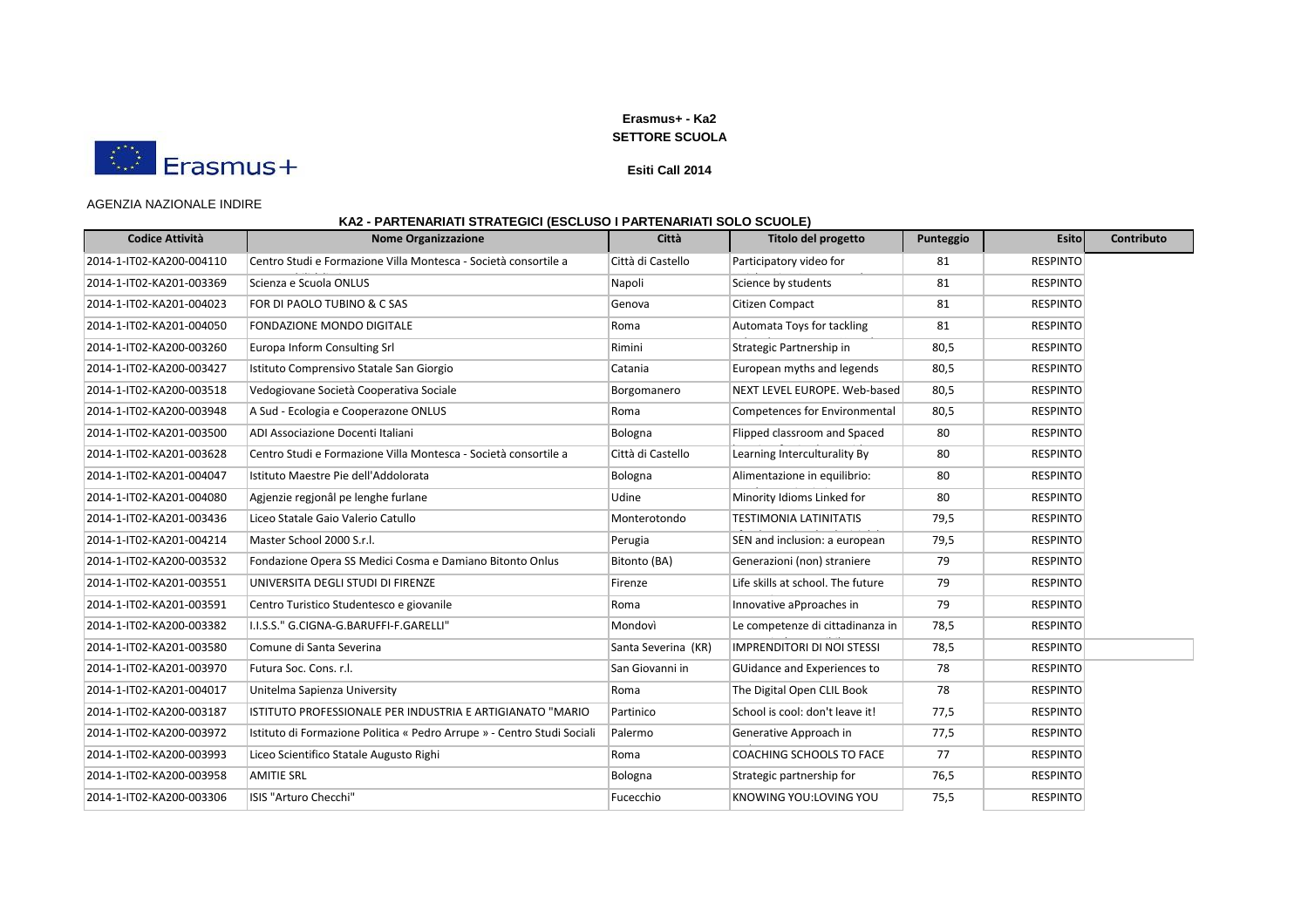

### **Esiti Call 2014**

### AGENZIA NAZIONALE INDIRE

| <b>Codice Attività</b>   | <b>Nome Organizzazione</b>                                              | Città               | Titolo del progetto               | Punteggio | <b>Esito</b>    | Contributo |
|--------------------------|-------------------------------------------------------------------------|---------------------|-----------------------------------|-----------|-----------------|------------|
| 2014-1-IT02-KA200-004110 | Centro Studi e Formazione Villa Montesca - Società consortile a         | Città di Castello   | Participatory video for           | 81        | <b>RESPINTO</b> |            |
| 2014-1-IT02-KA201-003369 | Scienza e Scuola ONLUS                                                  | Napoli              | Science by students               | 81        | <b>RESPINTO</b> |            |
| 2014-1-IT02-KA201-004023 | FOR DI PAOLO TUBINO & C SAS                                             | Genova              | Citizen Compact                   | 81        | <b>RESPINTO</b> |            |
| 2014-1-IT02-KA201-004050 | <b>FONDAZIONE MONDO DIGITALE</b>                                        | Roma                | Automata Toys for tackling        | 81        | <b>RESPINTO</b> |            |
| 2014-1-IT02-KA200-003260 | Europa Inform Consulting Srl                                            | Rimini              | Strategic Partnership in          | 80,5      | <b>RESPINTO</b> |            |
| 2014-1-IT02-KA200-003427 | Istituto Comprensivo Statale San Giorgio                                | Catania             | European myths and legends        | 80,5      | <b>RESPINTO</b> |            |
| 2014-1-IT02-KA200-003518 | Vedogiovane Società Cooperativa Sociale                                 | Borgomanero         | NEXT LEVEL EUROPE. Web-based      | 80,5      | <b>RESPINTO</b> |            |
| 2014-1-IT02-KA200-003948 | A Sud - Ecologia e Cooperazone ONLUS                                    | Roma                | Competences for Environmental     | 80,5      | <b>RESPINTO</b> |            |
| 2014-1-IT02-KA201-003500 | ADI Associazione Docenti Italiani                                       | Bologna             | Flipped classroom and Spaced      | 80        | <b>RESPINTO</b> |            |
| 2014-1-IT02-KA201-003628 | Centro Studi e Formazione Villa Montesca - Società consortile a         | Città di Castello   | Learning Interculturality By      | 80        | <b>RESPINTO</b> |            |
| 2014-1-IT02-KA201-004047 | Istituto Maestre Pie dell'Addolorata                                    | Bologna             | Alimentazione in equilibrio:      | 80        | <b>RESPINTO</b> |            |
| 2014-1-IT02-KA201-004080 | Agjenzie regjonâl pe lenghe furlane                                     | Udine               | Minority Idioms Linked for        | 80        | <b>RESPINTO</b> |            |
| 2014-1-IT02-KA201-003436 | Liceo Statale Gaio Valerio Catullo                                      | Monterotondo        | <b>TESTIMONIA LATINITATIS</b>     | 79,5      | <b>RESPINTO</b> |            |
| 2014-1-IT02-KA201-004214 | Master School 2000 S.r.l.                                               | Perugia             | SEN and inclusion: a european     | 79,5      | <b>RESPINTO</b> |            |
| 2014-1-IT02-KA200-003532 | Fondazione Opera SS Medici Cosma e Damiano Bitonto Onlus                | Bitonto (BA)        | Generazioni (non) straniere       | 79        | <b>RESPINTO</b> |            |
| 2014-1-IT02-KA201-003551 | UNIVERSITA DEGLI STUDI DI FIRENZE                                       | Firenze             | Life skills at school. The future | 79        | <b>RESPINTO</b> |            |
| 2014-1-IT02-KA201-003591 | Centro Turistico Studentesco e giovanile                                | Roma                | Innovative aPproaches in          | 79        | <b>RESPINTO</b> |            |
| 2014-1-IT02-KA200-003382 | I.I.S.S." G.CIGNA-G.BARUFFI-F.GARELLI"                                  | Mondovì             | Le competenze di cittadinanza in  | 78,5      | <b>RESPINTO</b> |            |
| 2014-1-IT02-KA201-003580 | Comune di Santa Severina                                                | Santa Severina (KR) | <b>IMPRENDITORI DI NOI STESSI</b> | 78,5      | <b>RESPINTO</b> |            |
| 2014-1-IT02-KA201-003970 | Futura Soc. Cons. r.l.                                                  | San Giovanni in     | GUidance and Experiences to       | 78        | <b>RESPINTO</b> |            |
| 2014-1-IT02-KA201-004017 | Unitelma Sapienza University                                            | Roma                | The Digital Open CLIL Book        | 78        | <b>RESPINTO</b> |            |
| 2014-1-IT02-KA200-003187 | ISTITUTO PROFESSIONALE PER INDUSTRIA E ARTIGIANATO "MARIO               | Partinico           | School is cool: don't leave it!   | 77,5      | <b>RESPINTO</b> |            |
| 2014-1-IT02-KA200-003972 | Istituto di Formazione Politica « Pedro Arrupe » - Centro Studi Sociali | Palermo             | Generative Approach in            | 77,5      | <b>RESPINTO</b> |            |
| 2014-1-IT02-KA200-003993 | Liceo Scientifico Statale Augusto Righi                                 | Roma                | COACHING SCHOOLS TO FACE          | 77        | <b>RESPINTO</b> |            |
| 2014-1-IT02-KA200-003958 | <b>AMITIE SRL</b>                                                       | Bologna             | Strategic partnership for         | 76,5      | <b>RESPINTO</b> |            |
| 2014-1-IT02-KA200-003306 | ISIS "Arturo Checchi"                                                   | Fucecchio           | KNOWING YOU:LOVING YOU            | 75,5      | <b>RESPINTO</b> |            |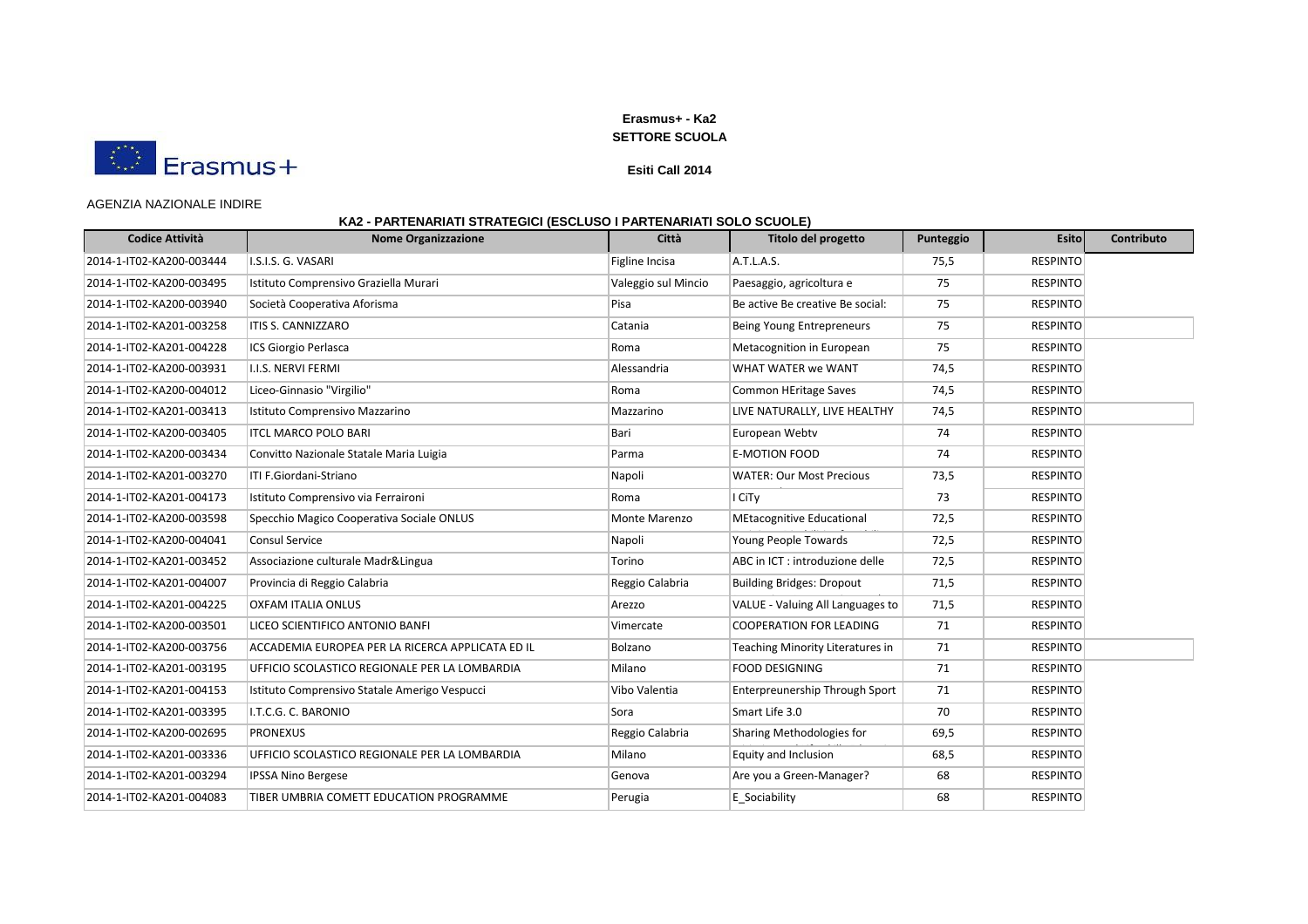

#### **Esiti Call 2014**

#### AGENZIA NAZIONALE INDIRE

| <b>Codice Attività</b>   | <b>Nome Organizzazione</b>                       | Città               | Titolo del progetto                   | Punteggio | <b>Esito</b>    | Contributo |
|--------------------------|--------------------------------------------------|---------------------|---------------------------------------|-----------|-----------------|------------|
| 2014-1-IT02-KA200-003444 | I.S.I.S. G. VASARI                               | Figline Incisa      | A.T.L.A.S.                            | 75,5      | <b>RESPINTO</b> |            |
| 2014-1-IT02-KA200-003495 | Istituto Comprensivo Graziella Murari            | Valeggio sul Mincio | Paesaggio, agricoltura e              | 75        | <b>RESPINTO</b> |            |
| 2014-1-IT02-KA200-003940 | Società Cooperativa Aforisma                     | Pisa                | Be active Be creative Be social:      | 75        | <b>RESPINTO</b> |            |
| 2014-1-IT02-KA201-003258 | <b>ITIS S. CANNIZZARO</b>                        | Catania             | Being Young Entrepreneurs             | 75        | <b>RESPINTO</b> |            |
| 2014-1-IT02-KA201-004228 | ICS Giorgio Perlasca                             | Roma                | Metacognition in European             | 75        | <b>RESPINTO</b> |            |
| 2014-1-IT02-KA200-003931 | I.I.S. NERVI FERMI                               | Alessandria         | WHAT WATER we WANT                    | 74,5      | <b>RESPINTO</b> |            |
| 2014-1-IT02-KA200-004012 | Liceo-Ginnasio "Virgilio"                        | Roma                | <b>Common HEritage Saves</b>          | 74,5      | <b>RESPINTO</b> |            |
| 2014-1-IT02-KA201-003413 | Istituto Comprensivo Mazzarino                   | Mazzarino           | LIVE NATURALLY, LIVE HEALTHY          | 74,5      | <b>RESPINTO</b> |            |
| 2014-1-IT02-KA200-003405 | <b>ITCL MARCO POLO BARI</b>                      | Bari                | European Webtv                        | 74        | <b>RESPINTO</b> |            |
| 2014-1-IT02-KA200-003434 | Convitto Nazionale Statale Maria Luigia          | Parma               | <b>E-MOTION FOOD</b>                  | 74        | <b>RESPINTO</b> |            |
| 2014-1-IT02-KA201-003270 | ITI F.Giordani-Striano                           | Napoli              | <b>WATER: Our Most Precious</b>       | 73,5      | <b>RESPINTO</b> |            |
| 2014-1-IT02-KA201-004173 | Istituto Comprensivo via Ferraironi              | Roma                | I CiTy                                | 73        | <b>RESPINTO</b> |            |
| 2014-1-IT02-KA200-003598 | Specchio Magico Cooperativa Sociale ONLUS        | Monte Marenzo       | <b>MEtacognitive Educational</b>      | 72,5      | <b>RESPINTO</b> |            |
| 2014-1-IT02-KA200-004041 | <b>Consul Service</b>                            | Napoli              | Young People Towards                  | 72,5      | <b>RESPINTO</b> |            |
| 2014-1-IT02-KA201-003452 | Associazione culturale Madr&Lingua               | Torino              | ABC in ICT : introduzione delle       | 72,5      | <b>RESPINTO</b> |            |
| 2014-1-IT02-KA201-004007 | Provincia di Reggio Calabria                     | Reggio Calabria     | <b>Building Bridges: Dropout</b>      | 71,5      | <b>RESPINTO</b> |            |
| 2014-1-IT02-KA201-004225 | <b>OXFAM ITALIA ONLUS</b>                        | Arezzo              | VALUE - Valuing All Languages to      | 71,5      | <b>RESPINTO</b> |            |
| 2014-1-IT02-KA200-003501 | LICEO SCIENTIFICO ANTONIO BANFI                  | Vimercate           | <b>COOPERATION FOR LEADING</b>        | 71        | <b>RESPINTO</b> |            |
| 2014-1-IT02-KA200-003756 | ACCADEMIA EUROPEA PER LA RICERCA APPLICATA ED IL | Bolzano             | Teaching Minority Literatures in      | 71        | <b>RESPINTO</b> |            |
| 2014-1-IT02-KA201-003195 | UFFICIO SCOLASTICO REGIONALE PER LA LOMBARDIA    | Milano              | <b>FOOD DESIGNING</b>                 | 71        | <b>RESPINTO</b> |            |
| 2014-1-IT02-KA201-004153 | Istituto Comprensivo Statale Amerigo Vespucci    | Vibo Valentia       | <b>Enterpreunership Through Sport</b> | 71        | <b>RESPINTO</b> |            |
| 2014-1-IT02-KA201-003395 | I.T.C.G. C. BARONIO                              | Sora                | Smart Life 3.0                        | 70        | <b>RESPINTO</b> |            |
| 2014-1-IT02-KA200-002695 | <b>PRONEXUS</b>                                  | Reggio Calabria     | Sharing Methodologies for             | 69,5      | <b>RESPINTO</b> |            |
| 2014-1-IT02-KA201-003336 | UFFICIO SCOLASTICO REGIONALE PER LA LOMBARDIA    | Milano              | Equity and Inclusion                  | 68,5      | <b>RESPINTO</b> |            |
| 2014-1-IT02-KA201-003294 | <b>IPSSA Nino Bergese</b>                        | Genova              | Are you a Green-Manager?              | 68        | <b>RESPINTO</b> |            |
| 2014-1-IT02-KA201-004083 | TIBER UMBRIA COMETT EDUCATION PROGRAMME          | Perugia             | E Sociability                         | 68        | <b>RESPINTO</b> |            |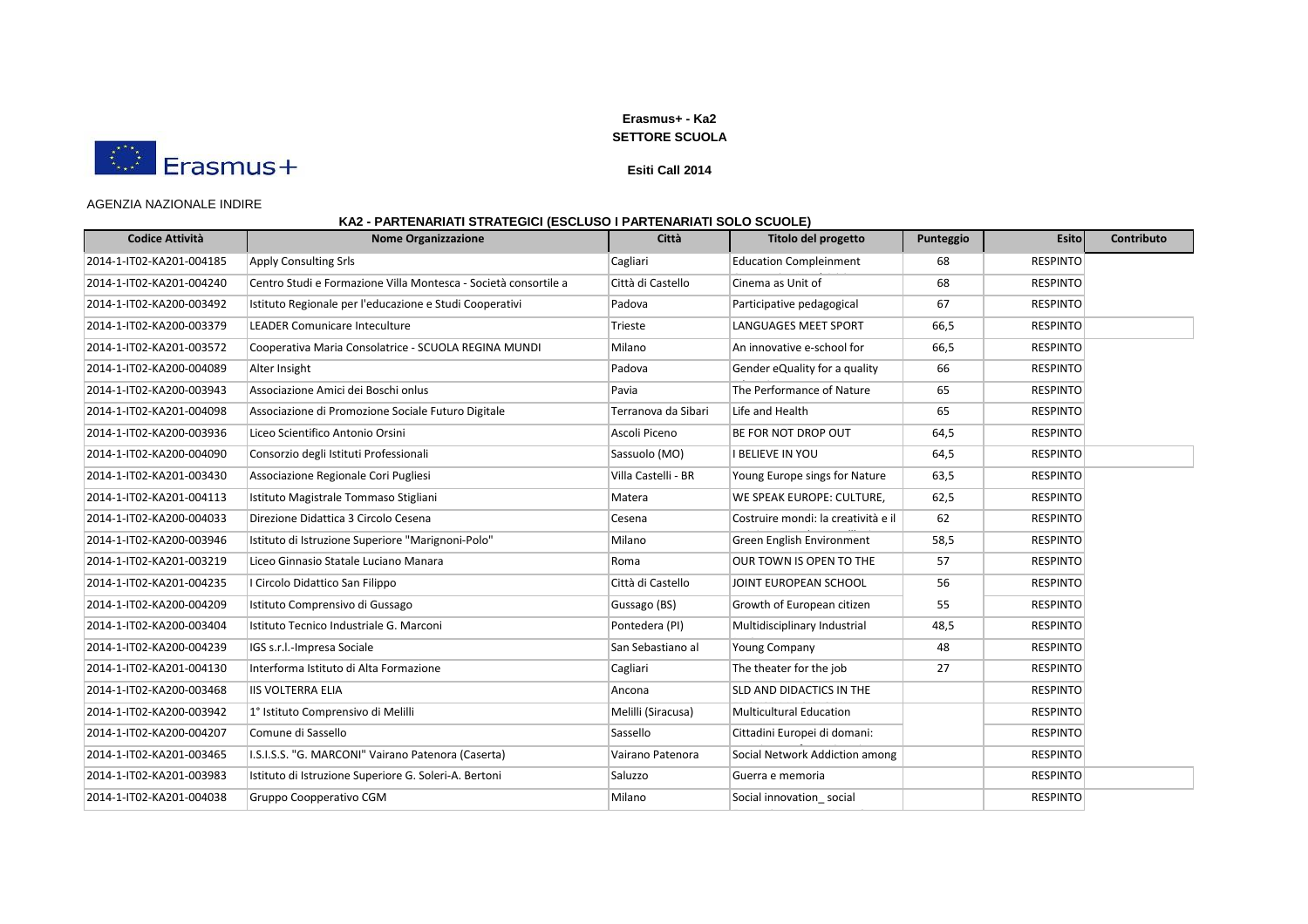

### **Esiti Call 2014**

#### AGENZIA NAZIONALE INDIRE

# **KA2 - PARTENARIATI STRATEGICI (ESCLUSO I PARTENARIATI SOLO SCUOLE)**

| <b>Codice Attività</b>   | <b>Nome Organizzazione</b>                                      | Città               | <b>Titolo del progetto</b>          | Punteggio | <b>Esito</b>    | Contributo |
|--------------------------|-----------------------------------------------------------------|---------------------|-------------------------------------|-----------|-----------------|------------|
| 2014-1-IT02-KA201-004185 | <b>Apply Consulting Srls</b>                                    | Cagliari            | <b>Education Compleinment</b>       | 68        | <b>RESPINTO</b> |            |
| 2014-1-IT02-KA201-004240 | Centro Studi e Formazione Villa Montesca - Società consortile a | Città di Castello   | Cinema as Unit of                   | 68        | <b>RESPINTO</b> |            |
| 2014-1-IT02-KA200-003492 | Istituto Regionale per l'educazione e Studi Cooperativi         | Padova              | Participative pedagogical           | 67        | <b>RESPINTO</b> |            |
| 2014-1-IT02-KA200-003379 | LEADER Comunicare Inteculture                                   | Trieste             | <b>LANGUAGES MEET SPORT</b>         | 66,5      | <b>RESPINTO</b> |            |
| 2014-1-IT02-KA201-003572 | Cooperativa Maria Consolatrice - SCUOLA REGINA MUNDI            | Milano              | An innovative e-school for          | 66,5      | <b>RESPINTO</b> |            |
| 2014-1-IT02-KA200-004089 | Alter Insight                                                   | Padova              | Gender eQuality for a quality       | 66        | <b>RESPINTO</b> |            |
| 2014-1-IT02-KA200-003943 | Associazione Amici dei Boschi onlus                             | Pavia               | The Performance of Nature           | 65        | <b>RESPINTO</b> |            |
| 2014-1-IT02-KA201-004098 | Associazione di Promozione Sociale Futuro Digitale              | Terranova da Sibari | Life and Health                     | 65        | <b>RESPINTO</b> |            |
| 2014-1-IT02-KA200-003936 | Liceo Scientifico Antonio Orsini                                | Ascoli Piceno       | BE FOR NOT DROP OUT                 | 64,5      | <b>RESPINTO</b> |            |
| 2014-1-IT02-KA200-004090 | Consorzio degli Istituti Professionali                          | Sassuolo (MO)       | <b>I BELIEVE IN YOU</b>             | 64,5      | <b>RESPINTO</b> |            |
| 2014-1-IT02-KA201-003430 | Associazione Regionale Cori Pugliesi                            | Villa Castelli - BR | Young Europe sings for Nature       | 63,5      | <b>RESPINTO</b> |            |
| 2014-1-IT02-KA201-004113 | Istituto Magistrale Tommaso Stigliani                           | Matera              | WE SPEAK EUROPE: CULTURE,           | 62,5      | <b>RESPINTO</b> |            |
| 2014-1-IT02-KA200-004033 | Direzione Didattica 3 Circolo Cesena                            | Cesena              | Costruire mondi: la creatività e il | 62        | <b>RESPINTO</b> |            |
| 2014-1-IT02-KA200-003946 | Istituto di Istruzione Superiore "Marignoni-Polo"               | Milano              | Green English Environment           | 58,5      | <b>RESPINTO</b> |            |
| 2014-1-IT02-KA201-003219 | Liceo Ginnasio Statale Luciano Manara                           | Roma                | OUR TOWN IS OPEN TO THE             | 57        | <b>RESPINTO</b> |            |
| 2014-1-IT02-KA201-004235 | I Circolo Didattico San Filippo                                 | Città di Castello   | JOINT EUROPEAN SCHOOL               | 56        | <b>RESPINTO</b> |            |
| 2014-1-IT02-KA200-004209 | Istituto Comprensivo di Gussago                                 | Gussago (BS)        | Growth of European citizen          | 55        | <b>RESPINTO</b> |            |
| 2014-1-IT02-KA200-003404 | Istituto Tecnico Industriale G. Marconi                         | Pontedera (PI)      | Multidisciplinary Industrial        | 48,5      | <b>RESPINTO</b> |            |
| 2014-1-IT02-KA200-004239 | IGS s.r.l.-Impresa Sociale                                      | San Sebastiano al   | <b>Young Company</b>                | 48        | <b>RESPINTO</b> |            |
| 2014-1-IT02-KA201-004130 | Interforma Istituto di Alta Formazione                          | Cagliari            | The theater for the job             | 27        | <b>RESPINTO</b> |            |
| 2014-1-IT02-KA200-003468 | <b>IIS VOLTERRA ELIA</b>                                        | Ancona              | SLD AND DIDACTICS IN THE            |           | <b>RESPINTO</b> |            |
| 2014-1-IT02-KA200-003942 | 1º Istituto Comprensivo di Melilli                              | Melilli (Siracusa)  | <b>Multicultural Education</b>      |           | <b>RESPINTO</b> |            |
| 2014-1-IT02-KA200-004207 | Comune di Sassello                                              | Sassello            | Cittadini Europei di domani:        |           | <b>RESPINTO</b> |            |
| 2014-1-IT02-KA201-003465 | I.S.I.S.S. "G. MARCONI" Vairano Patenora (Caserta)              | Vairano Patenora    | Social Network Addiction among      |           | <b>RESPINTO</b> |            |
| 2014-1-IT02-KA201-003983 | Istituto di Istruzione Superiore G. Soleri-A. Bertoni           | Saluzzo             | Guerra e memoria                    |           | <b>RESPINTO</b> |            |
| 2014-1-IT02-KA201-004038 | Gruppo Coopperativo CGM                                         | Milano              | Social innovation social            |           | <b>RESPINTO</b> |            |

Enterprise \_smart EDucation